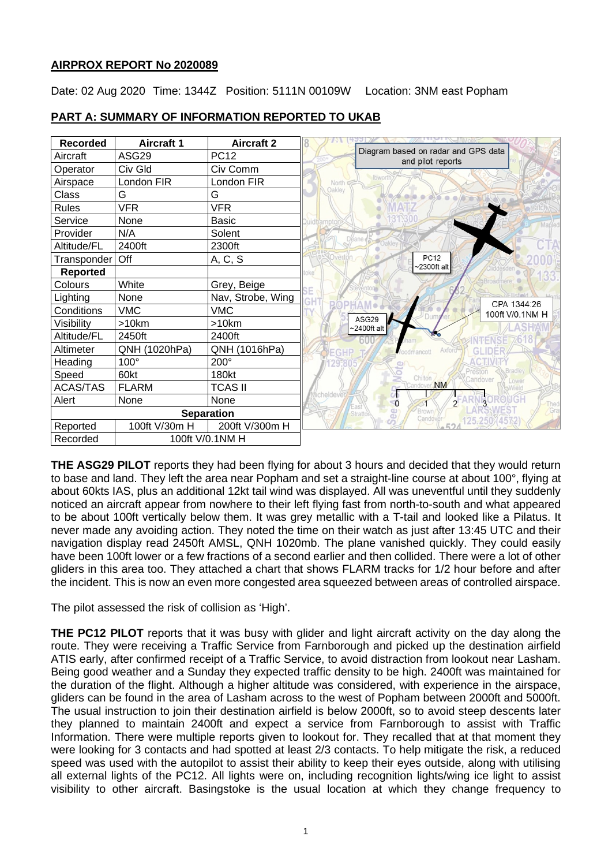## **AIRPROX REPORT No 2020089**

Date: 02 Aug 2020 Time: 1344Z Position: 5111N 00109W Location: 3NM east Popham



## **PART A: SUMMARY OF INFORMATION REPORTED TO UKAB**

**THE ASG29 PILOT** reports they had been flying for about 3 hours and decided that they would return to base and land. They left the area near Popham and set a straight-line course at about 100°, flying at about 60kts IAS, plus an additional 12kt tail wind was displayed. All was uneventful until they suddenly noticed an aircraft appear from nowhere to their left flying fast from north-to-south and what appeared to be about 100ft vertically below them. It was grey metallic with a T-tail and looked like a Pilatus. It never made any avoiding action. They noted the time on their watch as just after 13:45 UTC and their navigation display read 2450ft AMSL, QNH 1020mb. The plane vanished quickly. They could easily have been 100ft lower or a few fractions of a second earlier and then collided. There were a lot of other gliders in this area too. They attached a chart that shows FLARM tracks for 1/2 hour before and after the incident. This is now an even more congested area squeezed between areas of controlled airspace.

The pilot assessed the risk of collision as 'High'.

**THE PC12 PILOT** reports that it was busy with glider and light aircraft activity on the day along the route. They were receiving a Traffic Service from Farnborough and picked up the destination airfield ATIS early, after confirmed receipt of a Traffic Service, to avoid distraction from lookout near Lasham. Being good weather and a Sunday they expected traffic density to be high. 2400ft was maintained for the duration of the flight. Although a higher altitude was considered, with experience in the airspace, gliders can be found in the area of Lasham across to the west of Popham between 2000ft and 5000ft. The usual instruction to join their destination airfield is below 2000ft, so to avoid steep descents later they planned to maintain 2400ft and expect a service from Farnborough to assist with Traffic Information. There were multiple reports given to lookout for. They recalled that at that moment they were looking for 3 contacts and had spotted at least 2/3 contacts. To help mitigate the risk, a reduced speed was used with the autopilot to assist their ability to keep their eyes outside, along with utilising all external lights of the PC12. All lights were on, including recognition lights/wing ice light to assist visibility to other aircraft. Basingstoke is the usual location at which they change frequency to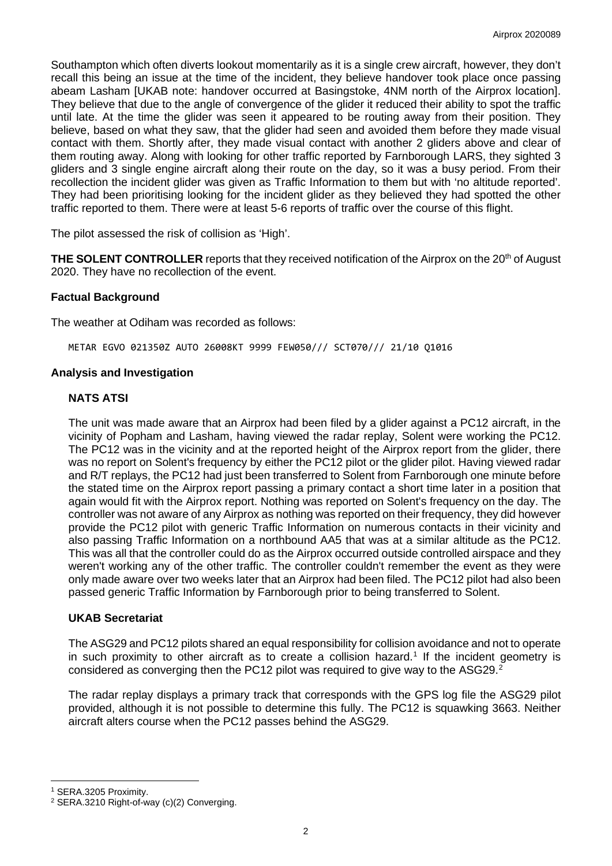Southampton which often diverts lookout momentarily as it is a single crew aircraft, however, they don't recall this being an issue at the time of the incident, they believe handover took place once passing abeam Lasham [UKAB note: handover occurred at Basingstoke, 4NM north of the Airprox location]. They believe that due to the angle of convergence of the glider it reduced their ability to spot the traffic until late. At the time the glider was seen it appeared to be routing away from their position. They believe, based on what they saw, that the glider had seen and avoided them before they made visual contact with them. Shortly after, they made visual contact with another 2 gliders above and clear of them routing away. Along with looking for other traffic reported by Farnborough LARS, they sighted 3 gliders and 3 single engine aircraft along their route on the day, so it was a busy period. From their recollection the incident glider was given as Traffic Information to them but with 'no altitude reported'. They had been prioritising looking for the incident glider as they believed they had spotted the other traffic reported to them. There were at least 5-6 reports of traffic over the course of this flight.

The pilot assessed the risk of collision as 'High'.

**THE SOLENT CONTROLLER** reports that they received notification of the Airprox on the 20<sup>th</sup> of August 2020. They have no recollection of the event.

### **Factual Background**

The weather at Odiham was recorded as follows:

METAR EGVO 021350Z AUTO 26008KT 9999 FEW050/// SCT070/// 21/10 Q1016

#### **Analysis and Investigation**

#### **NATS ATSI**

The unit was made aware that an Airprox had been filed by a glider against a PC12 aircraft, in the vicinity of Popham and Lasham, having viewed the radar replay, Solent were working the PC12. The PC12 was in the vicinity and at the reported height of the Airprox report from the glider, there was no report on Solent's frequency by either the PC12 pilot or the glider pilot. Having viewed radar and R/T replays, the PC12 had just been transferred to Solent from Farnborough one minute before the stated time on the Airprox report passing a primary contact a short time later in a position that again would fit with the Airprox report. Nothing was reported on Solent's frequency on the day. The controller was not aware of any Airprox as nothing was reported on their frequency, they did however provide the PC12 pilot with generic Traffic Information on numerous contacts in their vicinity and also passing Traffic Information on a northbound AA5 that was at a similar altitude as the PC12. This was all that the controller could do as the Airprox occurred outside controlled airspace and they weren't working any of the other traffic. The controller couldn't remember the event as they were only made aware over two weeks later that an Airprox had been filed. The PC12 pilot had also been passed generic Traffic Information by Farnborough prior to being transferred to Solent.

#### **UKAB Secretariat**

The ASG29 and PC12 pilots shared an equal responsibility for collision avoidance and not to operate in such proximity to other aircraft as to create a collision hazard. [1](#page-1-0) If the incident geometry is considered as converging then the PC1[2](#page-1-1) pilot was required to give way to the ASG29.<sup>2</sup>

The radar replay displays a primary track that corresponds with the GPS log file the ASG29 pilot provided, although it is not possible to determine this fully. The PC12 is squawking 3663. Neither aircraft alters course when the PC12 passes behind the ASG29.

<span id="page-1-0"></span><sup>1</sup> SERA.3205 Proximity.

<span id="page-1-1"></span><sup>&</sup>lt;sup>2</sup> SERA.3210 Right-of-way (c)(2) Converging.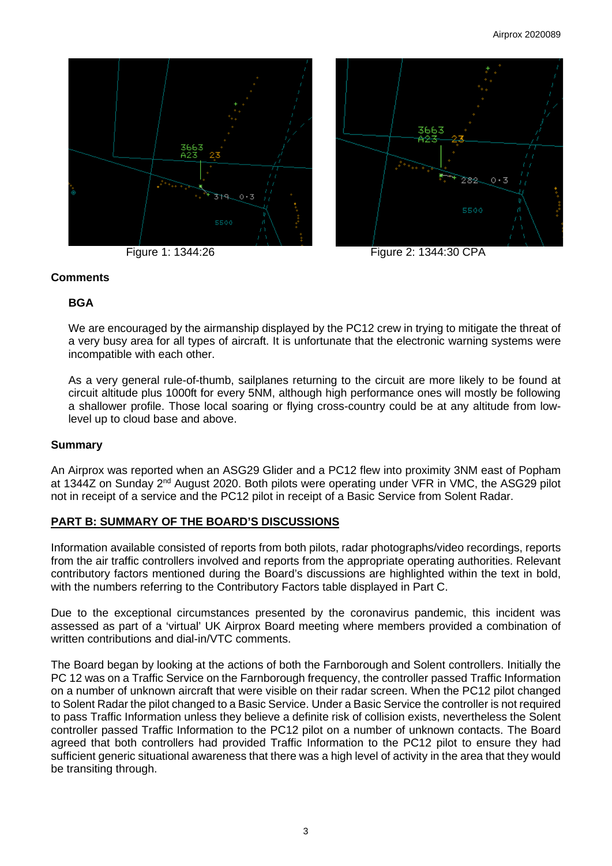

Figure 1: 1344:26 Figure 2: 1344:30 CPA

## **Comments**

## **BGA**

We are encouraged by the airmanship displayed by the PC12 crew in trying to mitigate the threat of a very busy area for all types of aircraft. It is unfortunate that the electronic warning systems were incompatible with each other.

As a very general rule-of-thumb, sailplanes returning to the circuit are more likely to be found at circuit altitude plus 1000ft for every 5NM, although high performance ones will mostly be following a shallower profile. Those local soaring or flying cross-country could be at any altitude from lowlevel up to cloud base and above.

## **Summary**

An Airprox was reported when an ASG29 Glider and a PC12 flew into proximity 3NM east of Popham at 1344Z on Sunday 2<sup>nd</sup> August 2020. Both pilots were operating under VFR in VMC, the ASG29 pilot not in receipt of a service and the PC12 pilot in receipt of a Basic Service from Solent Radar.

## **PART B: SUMMARY OF THE BOARD'S DISCUSSIONS**

Information available consisted of reports from both pilots, radar photographs/video recordings, reports from the air traffic controllers involved and reports from the appropriate operating authorities. Relevant contributory factors mentioned during the Board's discussions are highlighted within the text in bold, with the numbers referring to the Contributory Factors table displayed in Part C.

Due to the exceptional circumstances presented by the coronavirus pandemic, this incident was assessed as part of a 'virtual' UK Airprox Board meeting where members provided a combination of written contributions and dial-in/VTC comments.

The Board began by looking at the actions of both the Farnborough and Solent controllers. Initially the PC 12 was on a Traffic Service on the Farnborough frequency, the controller passed Traffic Information on a number of unknown aircraft that were visible on their radar screen. When the PC12 pilot changed to Solent Radar the pilot changed to a Basic Service. Under a Basic Service the controller is not required to pass Traffic Information unless they believe a definite risk of collision exists, nevertheless the Solent controller passed Traffic Information to the PC12 pilot on a number of unknown contacts. The Board agreed that both controllers had provided Traffic Information to the PC12 pilot to ensure they had sufficient generic situational awareness that there was a high level of activity in the area that they would be transiting through.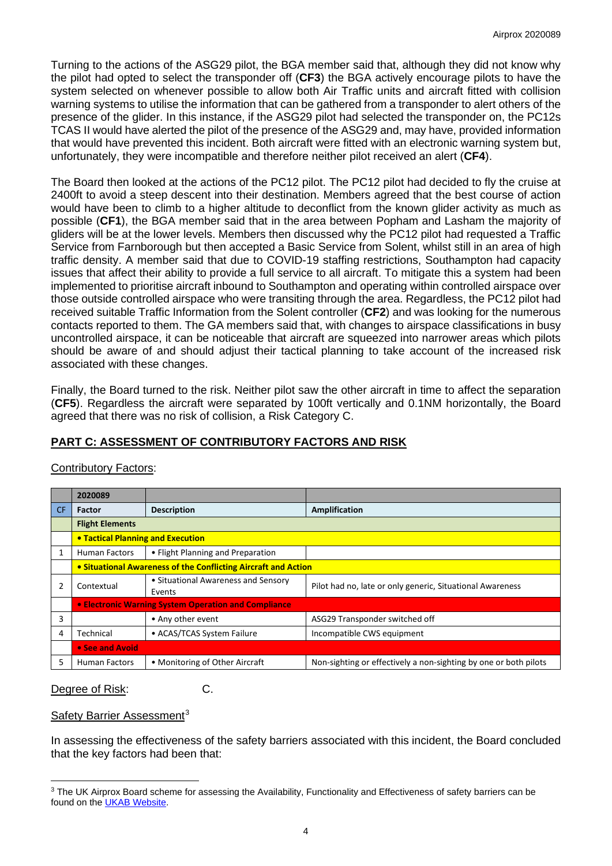Turning to the actions of the ASG29 pilot, the BGA member said that, although they did not know why the pilot had opted to select the transponder off (**CF3**) the BGA actively encourage pilots to have the system selected on whenever possible to allow both Air Traffic units and aircraft fitted with collision warning systems to utilise the information that can be gathered from a transponder to alert others of the presence of the glider. In this instance, if the ASG29 pilot had selected the transponder on, the PC12s TCAS II would have alerted the pilot of the presence of the ASG29 and, may have, provided information that would have prevented this incident. Both aircraft were fitted with an electronic warning system but, unfortunately, they were incompatible and therefore neither pilot received an alert (**CF4**).

The Board then looked at the actions of the PC12 pilot. The PC12 pilot had decided to fly the cruise at 2400ft to avoid a steep descent into their destination. Members agreed that the best course of action would have been to climb to a higher altitude to deconflict from the known glider activity as much as possible (**CF1**), the BGA member said that in the area between Popham and Lasham the majority of gliders will be at the lower levels. Members then discussed why the PC12 pilot had requested a Traffic Service from Farnborough but then accepted a Basic Service from Solent, whilst still in an area of high traffic density. A member said that due to COVID-19 staffing restrictions, Southampton had capacity issues that affect their ability to provide a full service to all aircraft. To mitigate this a system had been implemented to prioritise aircraft inbound to Southampton and operating within controlled airspace over those outside controlled airspace who were transiting through the area. Regardless, the PC12 pilot had received suitable Traffic Information from the Solent controller (**CF2**) and was looking for the numerous contacts reported to them. The GA members said that, with changes to airspace classifications in busy uncontrolled airspace, it can be noticeable that aircraft are squeezed into narrower areas which pilots should be aware of and should adjust their tactical planning to take account of the increased risk associated with these changes.

Finally, the Board turned to the risk. Neither pilot saw the other aircraft in time to affect the separation (**CF5**). Regardless the aircraft were separated by 100ft vertically and 0.1NM horizontally, the Board agreed that there was no risk of collision, a Risk Category C.

# **PART C: ASSESSMENT OF CONTRIBUTORY FACTORS AND RISK**

## Contributory Factors:

|           | 2020089                                              |                                                                       |                                                                  |  |  |  |  |  |
|-----------|------------------------------------------------------|-----------------------------------------------------------------------|------------------------------------------------------------------|--|--|--|--|--|
| <b>CF</b> | Factor                                               | <b>Description</b>                                                    | Amplification                                                    |  |  |  |  |  |
|           | <b>Flight Elements</b>                               |                                                                       |                                                                  |  |  |  |  |  |
|           | <b>• Tactical Planning and Execution</b>             |                                                                       |                                                                  |  |  |  |  |  |
|           | <b>Human Factors</b>                                 | • Flight Planning and Preparation                                     |                                                                  |  |  |  |  |  |
|           |                                                      | <b>• Situational Awareness of the Conflicting Aircraft and Action</b> |                                                                  |  |  |  |  |  |
| 2         | Contextual                                           | • Situational Awareness and Sensory<br>Events                         | Pilot had no, late or only generic, Situational Awareness        |  |  |  |  |  |
|           | • Electronic Warning System Operation and Compliance |                                                                       |                                                                  |  |  |  |  |  |
| 3         |                                                      | • Any other event                                                     | ASG29 Transponder switched off                                   |  |  |  |  |  |
| 4         | Technical                                            | • ACAS/TCAS System Failure                                            | Incompatible CWS equipment                                       |  |  |  |  |  |
|           | • See and Avoid                                      |                                                                       |                                                                  |  |  |  |  |  |
| 5.        | <b>Human Factors</b>                                 | • Monitoring of Other Aircraft                                        | Non-sighting or effectively a non-sighting by one or both pilots |  |  |  |  |  |

## Degree of Risk: C.

#### Safety Barrier Assessment<sup>[3](#page-3-0)</sup>

In assessing the effectiveness of the safety barriers associated with this incident, the Board concluded that the key factors had been that:

<span id="page-3-0"></span><sup>&</sup>lt;sup>3</sup> The UK Airprox Board scheme for assessing the Availability, Functionality and Effectiveness of safety barriers can be found on the [UKAB Website.](http://www.airproxboard.org.uk/Learn-more/Airprox-Barrier-Assessment/)